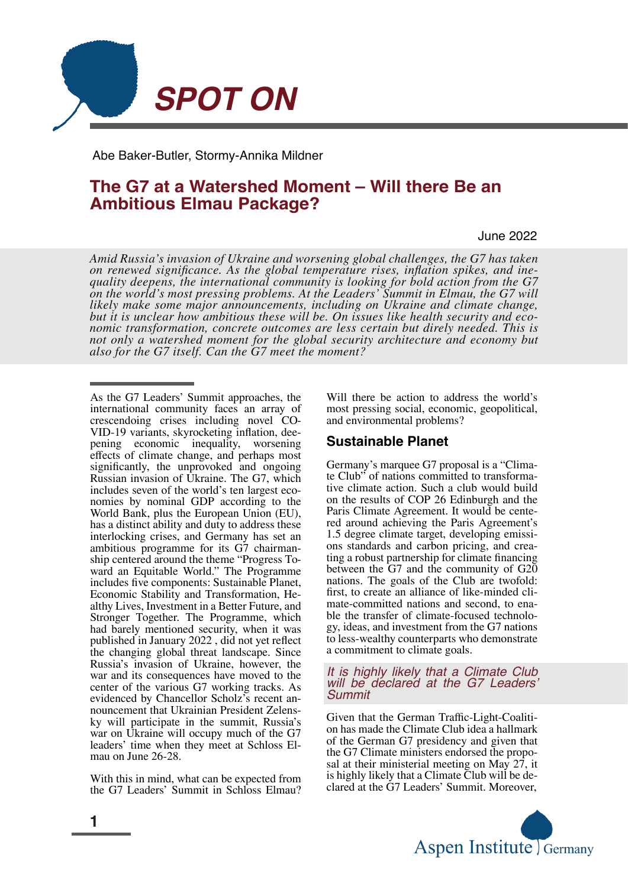

Abe Baker-Butler, Stormy-Annika Mildner

# **The G7 at a Watershed Moment – Will there Be an Ambitious Elmau Package?**

June 2022

*Amid Russia's invasion of Ukraine and worsening global challenges, the G7 has taken on renewed significance. As the global temperature rises, inflation spikes, and ine‐ quality deepens, the international community is looking for bold action from the G7 on the world's most pressing problems. At the Leaders' Summit in Elmau, the G7 will likely make some major announcements, including on Ukraine and climate change, but it is unclear how ambitious these will be. On issues like health security and eco‐ nomic transformation, concrete outcomes are less certain but direly needed. This is not only a watershed moment for the global security architecture and economy but also for the G7 itself. Can the G7 meet the moment?*

With this in mind, what can be expected from the G7 Leaders' Summit in Schloss Elmau? Will there be action to address the world's most pressing social, economic, geopolitical, and environmental problems?

#### **Sustainable Planet**

Germany's marquee G7 proposal is a "Clima‐ te Club" of nations committed to transformative climate action. Such a club would build on the results of COP 26 Edinburgh and the Paris Climate Agreement. It would be cente‐ red around achieving the Paris Agreement's 1.5 degree climate target, developing emissi‐ ons standards and carbon pricing, and crea‐ ting a robust partnership for climate financing between the G7 and the community of G20 nations. The goals of the Club are twofold: first, to create an alliance of like-minded climate-committed nations and second, to enable the transfer of climate-focused technology, ideas, and investment from the G7 nations to less-wealthy counterparts who demonstrate a commitment to climate goals.

#### *It is highly likely that a Climate Club will be declared at the G7 Leaders' Summit*

Given that the German Traffic-Light-Coaliti‐ on has made the Climate Club idea a hallmark of the German G7 presidency and given that the G7 Climate ministers endorsed the propo‐ sal at their ministerial meeting on May 27, it is highly likely that a Climate Club will be de‐ clared at the G7 Leaders' Summit. Moreover,



As the G7 Leaders' Summit approaches, the international community faces an array of crescendoing crises including novel CO‐ VID-19 variants, skyrocketing inflation, dee‐ pening economic inequality, worsening effects of climate change, and perhaps most significantly, the unprovoked and ongoing Russian invasion of Ukraine. The G7, which includes seven of the world's ten largest economies by nominal GDP according to the World Bank, plus the European Union (EU), has a distinct ability and duty to address these interlocking crises, and Germany has set an ambitious programme for its G7 chairman‐ ship centered around the theme "Progress To‐ ward an Equitable World." The Programme includes five components: Sustainable Planet, Economic Stability and Transformation, He‐ althy Lives, Investment in a Better Future, and Stronger Together. The Programme, which had barely mentioned security, when it was published in January 2022 , did not yet reflect the changing global threat landscape. Since Russia's invasion of Ukraine, however, the war and its consequences have moved to the center of the various G7 working tracks. As evidenced by Chancellor Scholz's recent an‐ nouncement that Ukrainian President Zelens‐ ky will participate in the summit, Russia's war on Ukraine will occupy much of the G7 leaders' time when they meet at Schloss El‐ mau on June 26-28.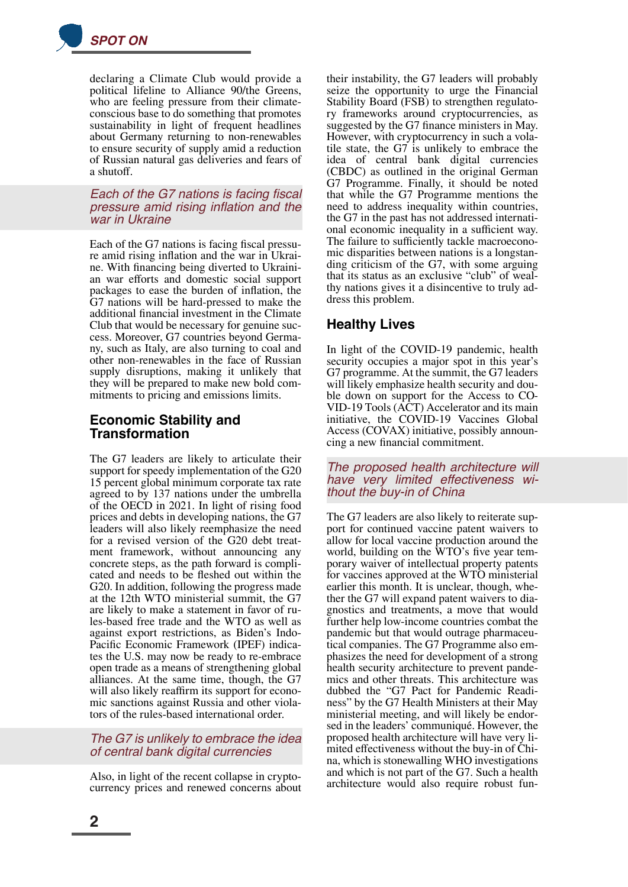

declaring a Climate Club would provide a political lifeline to Alliance 90/the Greens, who are feeling pressure from their climateconscious base to do something that promotes sustainability in light of frequent headlines about Germany returning to non-renewables to ensure security of supply amid a reduction of Russian natural gas deliveries and fears of a shutoff.

### *Each of the G7 nations is facing fiscal pressure amid rising inflation and the war in Ukraine*

Each of the G7 nations is facing fiscal pressure amid rising inflation and the war in Ukrai‐ ne. With financing being diverted to Ukraini‐ an war efforts and domestic social support packages to ease the burden of inflation, the G7 nations will be hard-pressed to make the additional financial investment in the Climate Club that would be necessary for genuine suc‐ cess. Moreover, G7 countries beyond Germa‐ ny, such as Italy, are also turning to coal and other non-renewables in the face of Russian supply disruptions, making it unlikely that they will be prepared to make new bold com‐ mitments to pricing and emissions limits.

### **Economic Stability and Transformation**

The G7 leaders are likely to articulate their support for speedy implementation of the G20 15 percent global minimum corporate tax rate agreed to by 137 nations under the umbrella of the OECD in 2021. In light of rising food prices and debts in developing nations, the G7 leaders will also likely reemphasize the need for a revised version of the G20 debt treatment framework, without announcing any concrete steps, as the path forward is compli‐ cated and needs to be fleshed out within the G20. In addition, following the progress made at the 12th WTO ministerial summit, the G7 are likely to make a statement in favor of ru‐ les-based free trade and the WTO as well as against export restrictions, as Biden's Indo-Pacific Economic Framework (IPEF) indica‐ tes the U.S. may now be ready to re-embrace open trade as a means of strengthening global alliances. At the same time, though, the G7 will also likely reaffirm its support for economic sanctions against Russia and other viola‐ tors of the rules-based international order.

### *The G7 is unlikely to embrace the idea of central bank digital currencies*

Also, in light of the recent collapse in crypto‐ currency prices and renewed concerns about their instability, the G7 leaders will probably seize the opportunity to urge the Financial Stability Board (FSB) to strengthen regulato‐ ry frameworks around cryptocurrencies, as suggested by the G7 finance ministers in May. However, with cryptocurrency in such a vola‐ tile state, the G7 is unlikely to embrace the idea of central bank digital currencies (CBDC) as outlined in the original German G7 Programme. Finally, it should be noted that while the G7 Programme mentions the need to address inequality within countries, the G7 in the past has not addressed internati‐ onal economic inequality in a sufficient way. The failure to sufficiently tackle macroeconomic disparities between nations is a longstan‐ ding criticism of the G7, with some arguing that its status as an exclusive "club" of weal‐ thy nations gives it a disincentive to truly ad‐ dress this problem.

## **Healthy Lives**

In light of the COVID-19 pandemic, health security occupies a major spot in this year's G7 programme. At the summit, the G7 leaders will likely emphasize health security and double down on support for the Access to CO‐ VID-19 Tools (ACT) Accelerator and its main initiative, the COVID-19 Vaccines Global Access (COVAX) initiative, possibly announ‐ cing a new financial commitment.

#### *The proposed health architecture will have very limited effectiveness wi‐ thout the buy-in of China*

The G7 leaders are also likely to reiterate sup‐ port for continued vaccine patent waivers to allow for local vaccine production around the world, building on the WTO's five year temporary waiver of intellectual property patents for vaccines approved at the WTO ministerial earlier this month. It is unclear, though, whether the G7 will expand patent waivers to dia‐ gnostics and treatments, a move that would further help low-income countries combat the pandemic but that would outrage pharmaceutical companies. The G7 Programme also em‐ phasizes the need for development of a strong health security architecture to prevent pandemics and other threats. This architecture was dubbed the "G7 Pact for Pandemic Readi‐ ness" by the G7 Health Ministers at their May ministerial meeting, and will likely be endor‐ sed in the leaders' communiqué. However, the proposed health architecture will have very li‐ mited effectiveness without the buy-in of Chi‐ na, which is stonewalling WHO investigations and which is not part of the G7. Such a health architecture would also require robust fun‐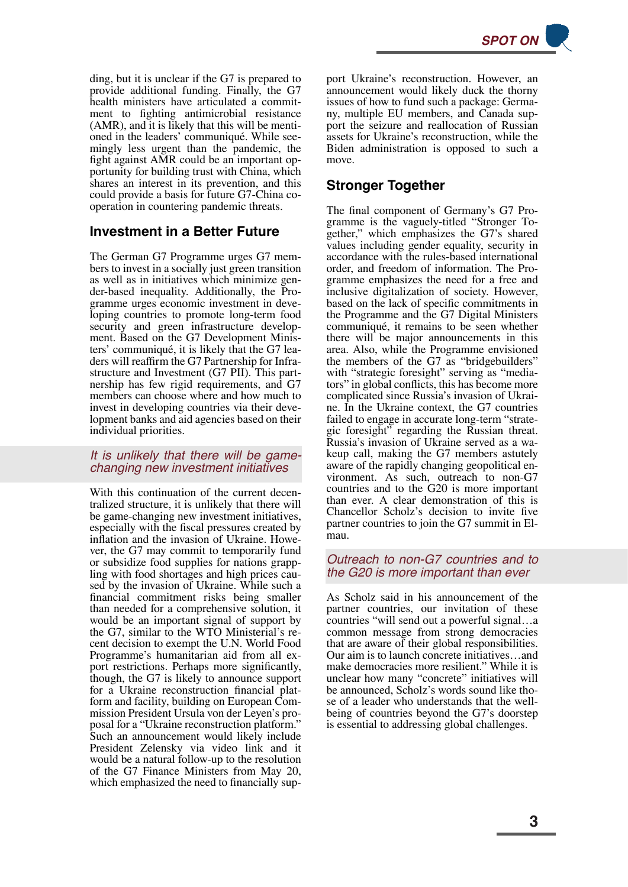*SPOT ON*

ding, but it is unclear if the G7 is prepared to provide additional funding. Finally, the G7 health ministers have articulated a commitment to fighting antimicrobial resistance (AMR), and it is likely that this will be menti‐ oned in the leaders' communiqué. While see‐ mingly less urgent than the pandemic, the fight against AMR could be an important op‐ portunity for building trust with China, which shares an interest in its prevention, and this could provide a basis for future G7-China cooperation in countering pandemic threats.

## **Investment in a Better Future**

The German G7 Programme urges G7 mem‐ bers to invest in a socially just green transition as well as in initiatives which minimize gen‐ der-based inequality. Additionally, the Pro‐ gramme urges economic investment in deve‐ loping countries to promote long-term food security and green infrastructure development. Based on the G7 Development Ministers' communiqué, it is likely that the G7 lea‐ ders will reaffirm the G7 Partnership for Infra‐ structure and Investment (G7 PII). This part‐ nership has few rigid requirements, and G7 members can choose where and how much to invest in developing countries via their deve‐ lopment banks and aid agencies based on their individual priorities.

### *It is unlikely that there will be gamechanging new investment initiatives*

With this continuation of the current decentralized structure, it is unlikely that there will be game-changing new investment initiatives, especially with the fiscal pressures created by inflation and the invasion of Ukraine. However, the G7 may commit to temporarily fund or subsidize food supplies for nations grapp‐ ling with food shortages and high prices caused by the invasion of Ukraine. While such a financial commitment risks being smaller than needed for a comprehensive solution, it would be an important signal of support by the G7, similar to the WTO Ministerial's re‐ cent decision to exempt the U.N. World Food Programme's humanitarian aid from all ex‐ port restrictions. Perhaps more significantly, though, the G7 is likely to announce support for a Ukraine reconstruction financial platform and facility, building on European Com‐ mission President Ursula von der Leyen's pro‐ posal for a "Ukraine reconstruction platform." Such an announcement would likely include President Zelensky via video link and it would be a natural follow-up to the resolution of the G7 Finance Ministers from May 20, which emphasized the need to financially support Ukraine's reconstruction. However, an announcement would likely duck the thorny issues of how to fund such a package: Germa‐ ny, multiple EU members, and Canada sup‐ port the seizure and reallocation of Russian assets for Ukraine's reconstruction, while the Biden administration is opposed to such a move.

## **Stronger Together**

The final component of Germany's G7 Pro‐ gramme is the vaguely-titled "Stronger To‐ gether," which emphasizes the G7's shared values including gender equality, security in accordance with the rules-based international order, and freedom of information. The Pro‐ gramme emphasizes the need for a free and inclusive digitalization of society. However, based on the lack of specific commitments in the Programme and the G7 Digital Ministers communiqué, it remains to be seen whether there will be major announcements in this area. Also, while the Programme envisioned the members of the G7 as "bridgebuilders" with "strategic foresight" serving as "mediators" in global conflicts, this has become more complicated since Russia's invasion of Ukrai‐ ne. In the Ukraine context, the G7 countries failed to engage in accurate long-term "strate‐ gic foresight" regarding the Russian threat. Russia's invasion of Ukraine served as a wa‐ keup call, making the G7 members astutely aware of the rapidly changing geopolitical en‐ vironment. As such, outreach to non-G7 countries and to the G20 is more important than ever. A clear demonstration of this is Chancellor Scholz's decision to invite five partner countries to join the G7 summit in El‐ mau.

### *Outreach to non-G7 countries and to the G20 is more important than ever*

As Scholz said in his announcement of the partner countries, our invitation of these countries "will send out a powerful signal…a common message from strong democracies that are aware of their global responsibilities. Our aim is to launch concrete initiatives…and make democracies more resilient." While it is unclear how many "concrete" initiatives will be announced, Scholz's words sound like those of a leader who understands that the wellbeing of countries beyond the G7's doorstep is essential to addressing global challenges.